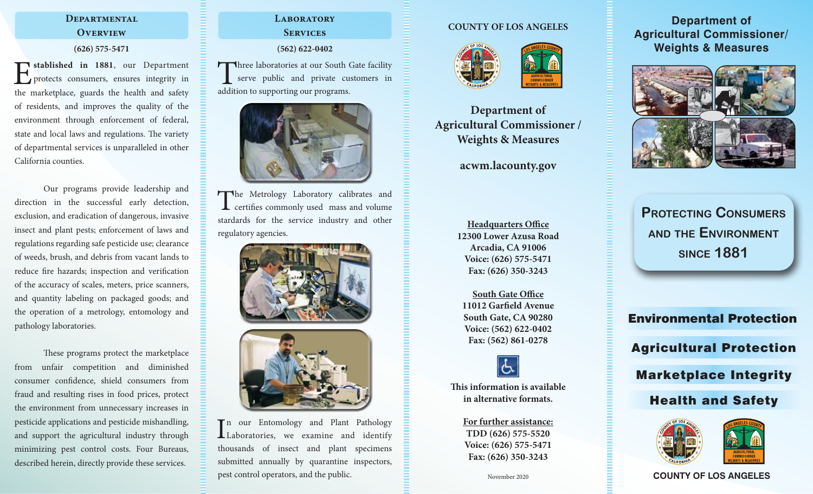# **Departmental Overview**

### **(626) 575-5471**

**Example 1881**, our Department<br>protects consumers, ensures integrity in<br>the marketplace quarks the health and safety protects consumers, ensures integrity in the marketplace, guards the health and safety of residents, and improves the quality of the environment through enforcement of federal, state and local laws and regulations. The variety of departmental services is unparalleled in other California counties.

Our programs provide leadership and direction in the successful early detection, exclusion, and eradication of dangerous, invasive insect and plant pests; enforcement of laws and regulations regarding safe pesticide use; clearance of weeds, brush, and debris from vacant lands to reduce fire hazards; inspection and verification of the accuracy of scales, meters, price scanners, and quantity labeling on packaged goods; and the operation of a metrology, entomology and pathology laboratories.

These programs protect the marketplace from unfair competition and diminished consumer confidence, shield consumers from fraud and resulting rises in food prices, protect the environment from unnecessary increases in pesticide applications and pesticide mishandling, and support the agricultural industry through minimizing pest control costs. Four Bureaus, described herein, directly provide these services.

# **Laboratory Services**

**(562) 622-0402**

Three laboratories at our South Gate facility serve public and private customers in addition to supporting our programs.



The Metrology Laboratory calibrates and certifies commonly used mass and volume stardards for the service industry and other regulatory agencies.





In our Entomology and Plant Pathology<br>Laboratories, we examine and identify Laboratories, we examine and identify thousands of insect and plant specimens submitted annually by quarantine inspectors, pest control operators, and the public.

### **COUNTY OF LOS ANGELES**



**Department of Agricultural Commissioner / Weights & Measures**

**acwm.lacounty.gov**

**Headquarters Office 12300 Lower Azusa Road Arcadia, CA 91006 Voice: (626) 575-5471 Fax: (626) 350-3243**

**South Gate Office 11012 Garfield Avenue South Gate, CA 90280 Voice: (562) 622-0402 Fax: (562) 861-0278**



**This information is available in alternative formats.**

> **For further assistance: TDD (626) 575-5520 Voice: (626) 575-5471 Fax: (626) 350-3243**

# **Department of Agricultural Commissioner/ Weights & Measures**



**Protecting Consumers and the Environment since 1881**

Environmental Protection Agricultural Protection Marketplace Integrity Health and Safety



**COUNTY OF LOS ANGELES**